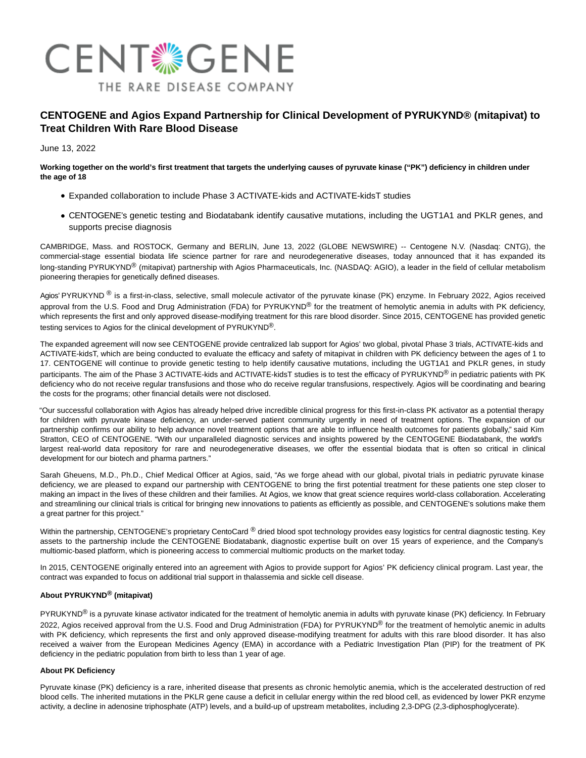

# **CENTOGENE and Agios Expand Partnership for Clinical Development of PYRUKYND® (mitapivat) to Treat Children With Rare Blood Disease**

June 13, 2022

# **Working together on the world's first treatment that targets the underlying causes of pyruvate kinase ("PK") deficiency in children under the age of 18**

- Expanded collaboration to include Phase 3 ACTIVATE-kids and ACTIVATE-kidsT studies
- CENTOGENE's genetic testing and Biodatabank identify causative mutations, including the UGT1A1 and PKLR genes, and supports precise diagnosis

CAMBRIDGE, Mass. and ROSTOCK, Germany and BERLIN, June 13, 2022 (GLOBE NEWSWIRE) -- Centogene N.V. (Nasdaq: CNTG), the commercial-stage essential biodata life science partner for rare and neurodegenerative diseases, today announced that it has expanded its long-standing PYRUKYND<sup>®</sup> (mitapivat) partnership with Agios Pharmaceuticals, Inc. (NASDAQ: AGIO), a leader in the field of cellular metabolism pioneering therapies for genetically defined diseases.

Agios' PYRUKYND  $^{\circledR}$  is a first-in-class, selective, small molecule activator of the pyruvate kinase (PK) enzyme. In February 2022, Agios received approval from the U.S. Food and Drug Administration (FDA) for PYRUKYND<sup>®</sup> for the treatment of hemolytic anemia in adults with PK deficiency, which represents the first and only approved disease-modifying treatment for this rare blood disorder. Since 2015, CENTOGENE has provided genetic testing services to Agios for the clinical development of PYRUKYND®.

The expanded agreement will now see CENTOGENE provide centralized lab support for Agios' two global, pivotal Phase 3 trials, ACTIVATE-kids and ACTIVATE-kidsT, which are being conducted to evaluate the efficacy and safety of mitapivat in children with PK deficiency between the ages of 1 to 17. CENTOGENE will continue to provide genetic testing to help identify causative mutations, including the UGT1A1 and PKLR genes, in study participants. The aim of the Phase 3 ACTIVATE-kids and ACTIVATE-kidsT studies is to test the efficacy of PYRUKYND® in pediatric patients with PK deficiency who do not receive regular transfusions and those who do receive regular transfusions, respectively. Agios will be coordinating and bearing the costs for the programs; other financial details were not disclosed.

"Our successful collaboration with Agios has already helped drive incredible clinical progress for this first-in-class PK activator as a potential therapy for children with pyruvate kinase deficiency, an under-served patient community urgently in need of treatment options. The expansion of our partnership confirms our ability to help advance novel treatment options that are able to influence health outcomes for patients globally," said Kim Stratton, CEO of CENTOGENE. "With our unparalleled diagnostic services and insights powered by the CENTOGENE Biodatabank, the world's largest real-world data repository for rare and neurodegenerative diseases, we offer the essential biodata that is often so critical in clinical development for our biotech and pharma partners."

Sarah Gheuens, M.D., Ph.D., Chief Medical Officer at Agios, said, "As we forge ahead with our global, pivotal trials in pediatric pyruvate kinase deficiency, we are pleased to expand our partnership with CENTOGENE to bring the first potential treatment for these patients one step closer to making an impact in the lives of these children and their families. At Agios, we know that great science requires world-class collaboration. Accelerating and streamlining our clinical trials is critical for bringing new innovations to patients as efficiently as possible, and CENTOGENE's solutions make them a great partner for this project."

Within the partnership, CENTOGENE's proprietary CentoCard ® dried blood spot technology provides easy logistics for central diagnostic testing. Key assets to the partnership include the CENTOGENE Biodatabank, diagnostic expertise built on over 15 years of experience, and the Company's multiomic-based platform, which is pioneering access to commercial multiomic products on the market today.

In 2015, CENTOGENE originally entered into an agreement with Agios to provide support for Agios' PK deficiency clinical program. Last year, the contract was expanded to focus on additional trial support in thalassemia and sickle cell disease.

# **About PYRUKYND® (mitapivat)**

 $PYRUKYND<sup>®</sup>$  is a pyruvate kinase activator indicated for the treatment of hemolytic anemia in adults with pyruvate kinase (PK) deficiency. In February 2022, Agios received approval from the U.S. Food and Drug Administration (FDA) for PYRUKYND® for the treatment of hemolytic anemic in adults with PK deficiency, which represents the first and only approved disease-modifying treatment for adults with this rare blood disorder. It has also received a waiver from the European Medicines Agency (EMA) in accordance with a Pediatric Investigation Plan (PIP) for the treatment of PK deficiency in the pediatric population from birth to less than 1 year of age.

# **About PK Deficiency**

Pyruvate kinase (PK) deficiency is a rare, inherited disease that presents as chronic hemolytic anemia, which is the accelerated destruction of red blood cells. The inherited mutations in the PKLR gene cause a deficit in cellular energy within the red blood cell, as evidenced by lower PKR enzyme activity, a decline in adenosine triphosphate (ATP) levels, and a build-up of upstream metabolites, including 2,3-DPG (2,3-diphosphoglycerate).